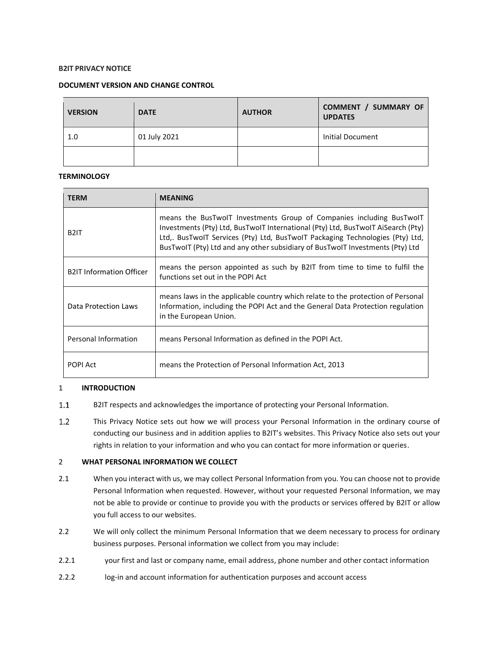# **B2IT PRIVACY NOTICE**

# **DOCUMENT VERSION AND CHANGE CONTROL**

| <b>VERSION</b> | <b>DATE</b>  | <b>AUTHOR</b> | <b>COMMENT / SUMMARY OF</b><br><b>UPDATES</b> |
|----------------|--------------|---------------|-----------------------------------------------|
| 1.0            | 01 July 2021 |               | Initial Document                              |
|                |              |               |                                               |

# **TERMINOLOGY**

| <b>TERM</b>                     | <b>MEANING</b>                                                                                                                                                                                                                                                                                                             |  |
|---------------------------------|----------------------------------------------------------------------------------------------------------------------------------------------------------------------------------------------------------------------------------------------------------------------------------------------------------------------------|--|
| B <sub>2</sub> IT               | means the BusTwoIT Investments Group of Companies including BusTwoIT<br>Investments (Pty) Ltd, BusTwolT International (Pty) Ltd, BusTwolT AiSearch (Pty)<br>Ltd,. BusTwolT Services (Pty) Ltd, BusTwolT Packaging Technologies (Pty) Ltd,<br>BusTwolT (Pty) Ltd and any other subsidiary of BusTwolT Investments (Pty) Ltd |  |
| <b>B2IT Information Officer</b> | means the person appointed as such by B2IT from time to time to fulfil the<br>functions set out in the POPI Act                                                                                                                                                                                                            |  |
| Data Protection Laws            | means laws in the applicable country which relate to the protection of Personal<br>Information, including the POPI Act and the General Data Protection regulation<br>in the European Union.                                                                                                                                |  |
| Personal Information            | means Personal Information as defined in the POPI Act.                                                                                                                                                                                                                                                                     |  |
| <b>POPI Act</b>                 | means the Protection of Personal Information Act, 2013                                                                                                                                                                                                                                                                     |  |

# 1 **INTRODUCTION**

- $1.1$ B2IT respects and acknowledges the importance of protecting your Personal Information.
- $1.2$ This Privacy Notice sets out how we will process your Personal Information in the ordinary course of conducting our business and in addition applies to B2IT's websites. This Privacy Notice also sets out your rights in relation to your information and who you can contact for more information or queries.

# 2 **WHAT PERSONAL INFORMATION WE COLLECT**

- 2.1 When you interact with us, we may collect Personal Information from you. You can choose not to provide Personal Information when requested. However, without your requested Personal Information, we may not be able to provide or continue to provide you with the products or services offered by B2IT or allow you full access to our websites.
- 2.2 We will only collect the minimum Personal Information that we deem necessary to process for ordinary business purposes. Personal information we collect from you may include:
- 2.2.1 your first and last or company name, email address, phone number and other contact information
- 2.2.2 log-in and account information for authentication purposes and account access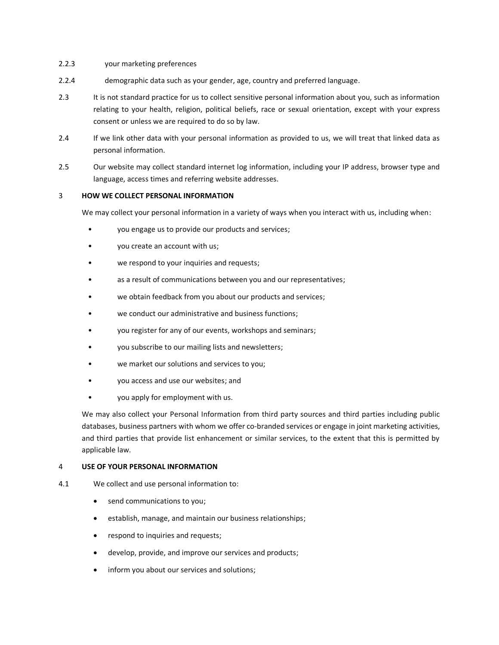- 2.2.3 your marketing preferences
- 2.2.4 demographic data such as your gender, age, country and preferred language.
- 2.3 It is not standard practice for us to collect sensitive personal information about you, such as information relating to your health, religion, political beliefs, race or sexual orientation, except with your express consent or unless we are required to do so by law.
- 2.4 If we link other data with your personal information as provided to us, we will treat that linked data as personal information.
- 2.5 Our website may collect standard internet log information, including your IP address, browser type and language, access times and referring website addresses.

# 3 **HOW WE COLLECT PERSONAL INFORMATION**

We may collect your personal information in a variety of ways when you interact with us, including when:

- you engage us to provide our products and services;
- you create an account with us;
- we respond to your inquiries and requests;
- as a result of communications between you and our representatives;
- we obtain feedback from you about our products and services;
- we conduct our administrative and business functions;
- you register for any of our events, workshops and seminars;
- you subscribe to our mailing lists and newsletters;
- we market our solutions and services to you;
- you access and use our websites; and
- you apply for employment with us.

We may also collect your Personal Information from third party sources and third parties including public databases, business partners with whom we offer co-branded services or engage in joint marketing activities, and third parties that provide list enhancement or similar services, to the extent that this is permitted by applicable law.

### 4 **USE OF YOUR PERSONAL INFORMATION**

- 4.1 We collect and use personal information to:
	- send communications to you;
	- establish, manage, and maintain our business relationships;
	- respond to inquiries and requests;
	- develop, provide, and improve our services and products;
	- inform you about our services and solutions;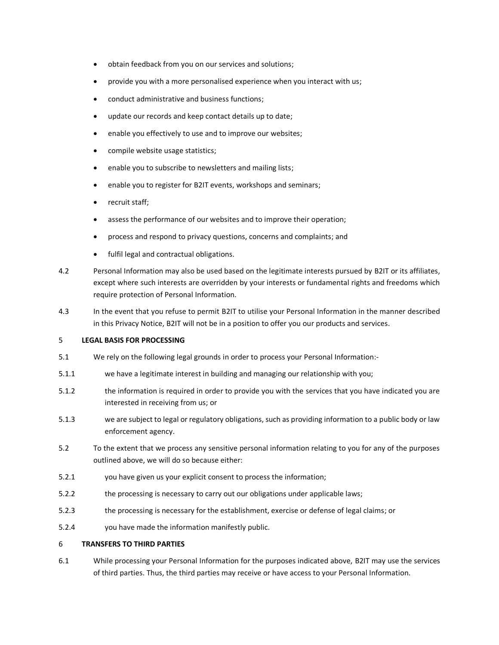- obtain feedback from you on our services and solutions;
- provide you with a more personalised experience when you interact with us;
- conduct administrative and business functions;
- update our records and keep contact details up to date;
- enable you effectively to use and to improve our websites;
- compile website usage statistics;
- enable you to subscribe to newsletters and mailing lists;
- enable you to register for B2IT events, workshops and seminars;
- recruit staff;
- assess the performance of our websites and to improve their operation;
- process and respond to privacy questions, concerns and complaints; and
- fulfil legal and contractual obligations.
- 4.2 Personal Information may also be used based on the legitimate interests pursued by B2IT or its affiliates, except where such interests are overridden by your interests or fundamental rights and freedoms which require protection of Personal Information.
- 4.3 In the event that you refuse to permit B2IT to utilise your Personal Information in the manner described in this Privacy Notice, B2IT will not be in a position to offer you our products and services.

# 5 **LEGAL BASIS FOR PROCESSING**

- 5.1 We rely on the following legal grounds in order to process your Personal Information:-
- 5.1.1 we have a legitimate interest in building and managing our relationship with you;
- 5.1.2 the information is required in order to provide you with the services that you have indicated you are interested in receiving from us; or
- 5.1.3 we are subject to legal or regulatory obligations, such as providing information to a public body or law enforcement agency.
- 5.2 To the extent that we process any sensitive personal information relating to you for any of the purposes outlined above, we will do so because either:
- 5.2.1 you have given us your explicit consent to process the information;
- 5.2.2 the processing is necessary to carry out our obligations under applicable laws;
- 5.2.3 the processing is necessary for the establishment, exercise or defense of legal claims; or
- 5.2.4 you have made the information manifestly public.

#### 6 **TRANSFERS TO THIRD PARTIES**

6.1 While processing your Personal Information for the purposes indicated above, B2IT may use the services of third parties. Thus, the third parties may receive or have access to your Personal Information.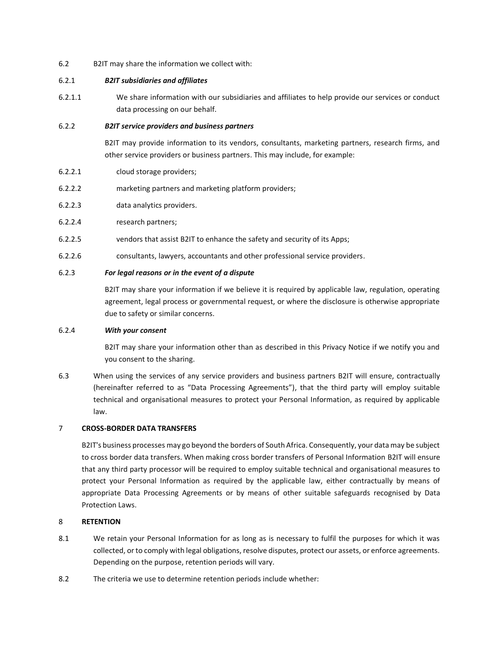6.2 B2IT may share the information we collect with:

# 6.2.1 *B2IT subsidiaries and affiliates*

6.2.1.1 We share information with our subsidiaries and affiliates to help provide our services or conduct data processing on our behalf.

## 6.2.2 *B2IT service providers and business partners*

B2IT may provide information to its vendors, consultants, marketing partners, research firms, and other service providers or business partners. This may include, for example:

- 6.2.2.1 cloud storage providers;
- 6.2.2.2 marketing partners and marketing platform providers;
- 6.2.2.3 data analytics providers.
- 6.2.2.4 research partners;
- 6.2.2.5 vendors that assist B2IT to enhance the safety and security of its Apps;
- 6.2.2.6 consultants, lawyers, accountants and other professional service providers.

# 6.2.3 *For legal reasons or in the event of a dispute*

B2IT may share your information if we believe it is required by applicable law, regulation, operating agreement, legal process or governmental request, or where the disclosure is otherwise appropriate due to safety or similar concerns.

### 6.2.4 *With your consent*

B2IT may share your information other than as described in this Privacy Notice if we notify you and you consent to the sharing.

6.3 When using the services of any service providers and business partners B2IT will ensure, contractually (hereinafter referred to as "Data Processing Agreements"), that the third party will employ suitable technical and organisational measures to protect your Personal Information, as required by applicable law.

### 7 **CROSS-BORDER DATA TRANSFERS**

B2IT's business processes may go beyond the borders of South Africa. Consequently, your data may be subject to cross border data transfers. When making cross border transfers of Personal Information B2IT will ensure that any third party processor will be required to employ suitable technical and organisational measures to protect your Personal Information as required by the applicable law, either contractually by means of appropriate Data Processing Agreements or by means of other suitable safeguards recognised by Data Protection Laws.

# 8 **RETENTION**

- 8.1 We retain your Personal Information for as long as is necessary to fulfil the purposes for which it was collected, or to comply with legal obligations, resolve disputes, protect our assets, or enforce agreements. Depending on the purpose, retention periods will vary.
- 8.2 The criteria we use to determine retention periods include whether: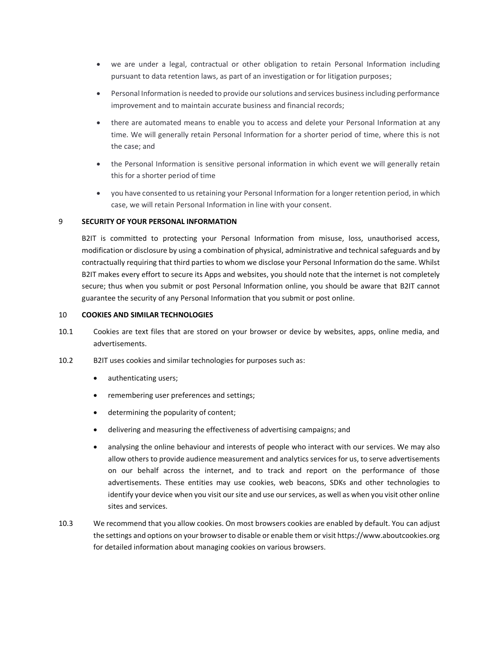- we are under a legal, contractual or other obligation to retain Personal Information including pursuant to data retention laws, as part of an investigation or for litigation purposes;
- Personal Information is needed to provide our solutions and services business including performance improvement and to maintain accurate business and financial records;
- there are automated means to enable you to access and delete your Personal Information at any time. We will generally retain Personal Information for a shorter period of time, where this is not the case; and
- the Personal Information is sensitive personal information in which event we will generally retain this for a shorter period of time
- you have consented to us retaining your Personal Information for a longer retention period, in which case, we will retain Personal Information in line with your consent.

# 9 **SECURITY OF YOUR PERSONAL INFORMATION**

B2IT is committed to protecting your Personal Information from misuse, loss, unauthorised access, modification or disclosure by using a combination of physical, administrative and technical safeguards and by contractually requiring that third parties to whom we disclose your Personal Information do the same. Whilst B2IT makes every effort to secure its Apps and websites, you should note that the internet is not completely secure; thus when you submit or post Personal Information online, you should be aware that B2IT cannot guarantee the security of any Personal Information that you submit or post online.

# 10 **COOKIES AND SIMILAR TECHNOLOGIES**

- 10.1 Cookies are text files that are stored on your browser or device by websites, apps, online media, and advertisements.
- 10.2 B2IT uses cookies and similar technologies for purposes such as:
	- authenticating users;
	- remembering user preferences and settings;
	- determining the popularity of content;
	- delivering and measuring the effectiveness of advertising campaigns; and
	- analysing the online behaviour and interests of people who interact with our services. We may also allow others to provide audience measurement and analytics services for us, to serve advertisements on our behalf across the internet, and to track and report on the performance of those advertisements. These entities may use cookies, web beacons, SDKs and other technologies to identify your device when you visit our site and use our services, as well as when you visit other online sites and services.
- 10.3 We recommend that you allow cookies. On most browsers cookies are enabled by default. You can adjust the settings and options on your browser to disable or enable them or visit https://www.aboutcookies.org for detailed information about managing cookies on various browsers.